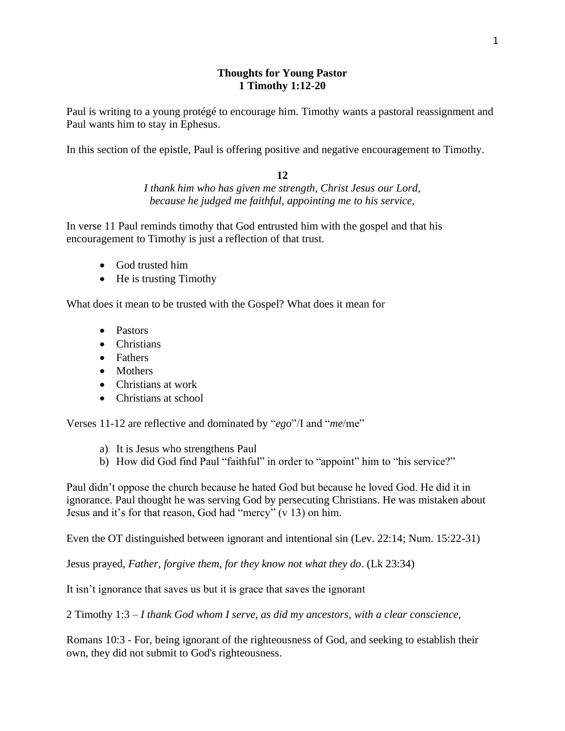# **Thoughts for Young Pastor 1 Timothy 1:12-20**

Paul is writing to a young protégé to encourage him. Timothy wants a pastoral reassignment and Paul wants him to stay in Ephesus.

In this section of the epistle, Paul is offering positive and negative encouragement to Timothy.

## **12**

*I thank him who has given me strength, Christ Jesus our Lord, because he judged me faithful, appointing me to his service,*

In verse 11 Paul reminds timothy that God entrusted him with the gospel and that his encouragement to Timothy is just a reflection of that trust.

- God trusted him
- He is trusting Timothy

What does it mean to be trusted with the Gospel? What does it mean for

- Pastors
- Christians
- Fathers
- Mothers
- Christians at work
- Christians at school

Verses 11-12 are reflective and dominated by "*ego*"/I and "*me*/me"

- a) It is Jesus who strengthens Paul
- b) How did God find Paul "faithful" in order to "appoint" him to "his service?"

Paul didn't oppose the church because he hated God but because he loved God. He did it in ignorance. Paul thought he was serving God by persecuting Christians. He was mistaken about Jesus and it's for that reason, God had "mercy" (v 13) on him.

Even the OT distinguished between ignorant and intentional sin (Lev. 22:14; Num. 15:22-31)

Jesus prayed, *Father, forgive them, for they know not what they do*. (Lk 23:34)

It isn't ignorance that saves us but it is grace that saves the ignorant

2 Timothy 1:3 – *I thank God whom I serve, as did my ancestors, with a clear conscience,*

Romans 10:3 - For, being ignorant of the righteousness of God, and seeking to establish their own, they did not submit to God's righteousness.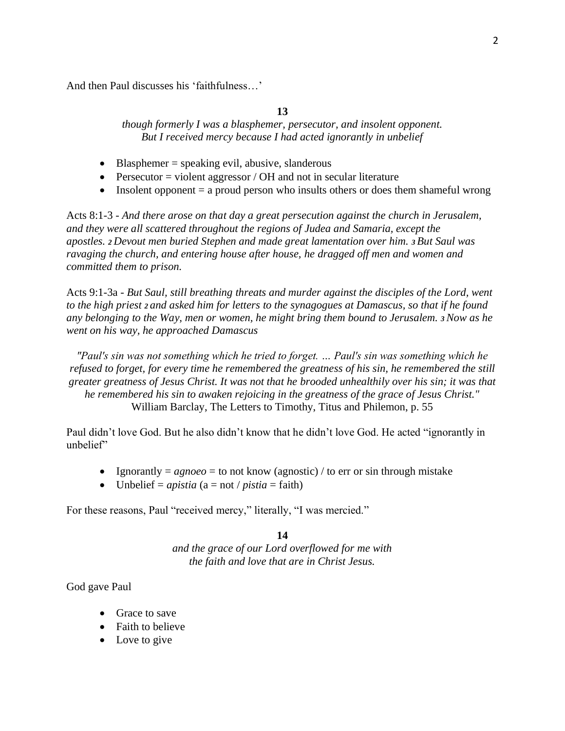And then Paul discusses his 'faithfulness…'

### **13**

*though formerly I was a blasphemer, persecutor, and insolent opponent. But I received mercy because I had acted ignorantly in unbelief*

- Blasphemer = speaking evil, abusive, slanderous
- Persecutor = violent aggressor / OH and not in secular literature
- Insolent opponent  $=$  a proud person who insults others or does them shameful wrong

Acts 8:1-3 - *And there arose on that day a great persecution against the church in Jerusalem, and they were all scattered throughout the regions of Judea and Samaria, except the apostles. <sup>2</sup> Devout men buried Stephen and made great lamentation over him. <sup>3</sup> But Saul was ravaging the church, and entering house after house, he dragged off men and women and committed them to prison.*

Acts 9:1-3a *- But Saul, still breathing threats and murder against the disciples of the Lord, went to the high priest <sup>2</sup> and asked him for letters to the synagogues at Damascus, so that if he found any belonging to the Way, men or women, he might bring them bound to Jerusalem. <sup>3</sup>Now as he went on his way, he approached Damascus*

*"Paul's sin was not something which he tried to forget. … Paul's sin was something which he refused to forget, for every time he remembered the greatness of his sin, he remembered the still greater greatness of Jesus Christ. It was not that he brooded unhealthily over his sin; it was that he remembered his sin to awaken rejoicing in the greatness of the grace of Jesus Christ."* William Barclay, The Letters to Timothy, Titus and Philemon, p. 55

Paul didn't love God. But he also didn't know that he didn't love God. He acted "ignorantly in unbelief"

- Ignorantly  $= agnoeo = to not know (agnostic) / to err or sin through mistake$
- Unbelief = *apistia*  $(a = not / \text{pistia} = \text{faith})$

For these reasons, Paul "received mercy," literally, "I was mercied."

# **14**

*and the grace of our Lord overflowed for me with the faith and love that are in Christ Jesus.*

God gave Paul

- Grace to save
- Faith to believe
- Love to give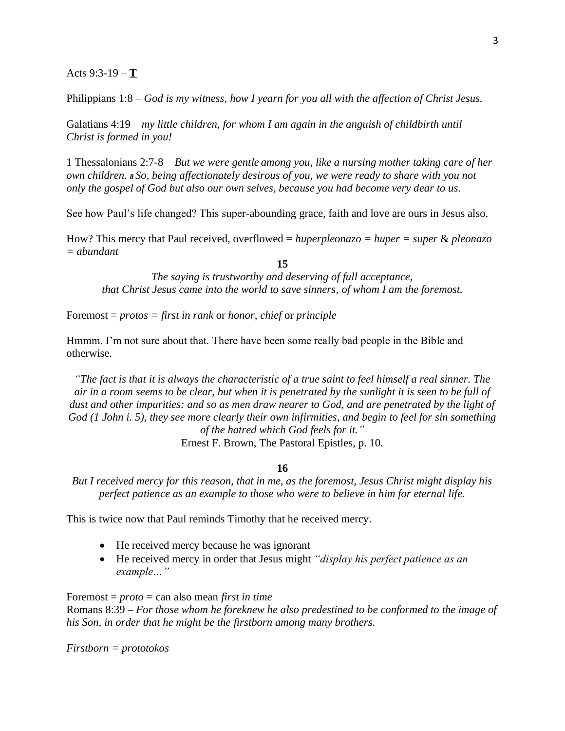### Acts 9:3-19 – **T**

Philippians 1:8 – *God is my witness, how I yearn for you all with the affection of Christ Jesus.*

Galatians 4:19 – *my little children, for whom I am again in the anguish of childbirth until Christ is formed in you!*

1 Thessalonians 2:7-8 – *But we were gentle among you, like a nursing mother taking care of her own children. <sup>8</sup> So, being affectionately desirous of you, we were ready to share with you not only the gospel of God but also our own selves, because you had become very dear to us.*

See how Paul's life changed? This super-abounding grace, faith and love are ours in Jesus also.

How? This mercy that Paul received, overflowed = *huperpleonazo = huper = super* & *pleonazo = abundant*

#### **15**

*The saying is trustworthy and deserving of full acceptance, that Christ Jesus came into the world to save sinners, of whom I am the foremost.*

Foremost = *protos = first in rank* or *honor*, *chief* or *principle*

Hmmm. I'm not sure about that. There have been some really bad people in the Bible and otherwise.

*"The fact is that it is always the characteristic of a true saint to feel himself a real sinner. The air in a room seems to be clear, but when it is penetrated by the sunlight it is seen to be full of dust and other impurities: and so as men draw nearer to God, and are penetrated by the light of God (1 John i. 5), they see more clearly their own infirmities, and begin to feel for sin something of the hatred which God feels for it."*

Ernest F. Brown, The Pastoral Epistles, p. 10.

### **16**

*But I received mercy for this reason, that in me, as the foremost, Jesus Christ might display his perfect patience as an example to those who were to believe in him for eternal life.*

This is twice now that Paul reminds Timothy that he received mercy.

- He received mercy because he was ignorant
- He received mercy in order that Jesus might *"display his perfect patience as an example…"*

Foremost = *proto* = can also mean *first in time* 

Romans 8:39 – *For those whom he foreknew he also predestined to be conformed to the image of his Son, in order that he might be the firstborn among many brothers.*

*Firstborn = prototokos*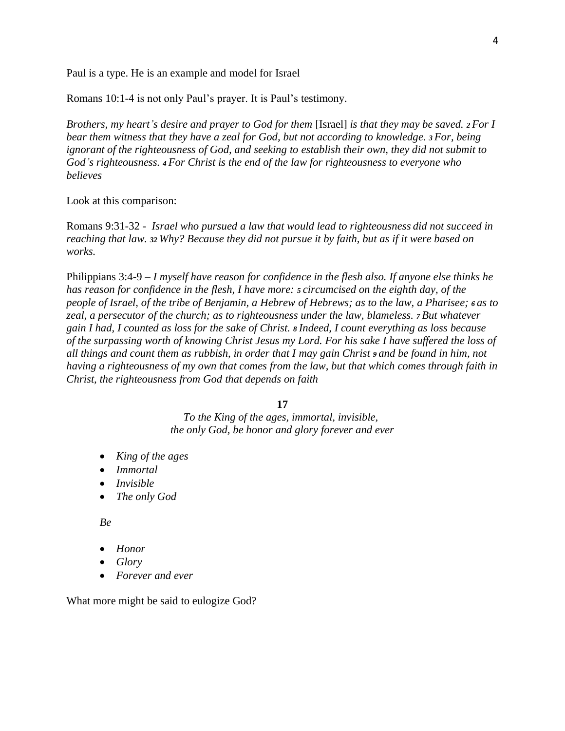Paul is a type. He is an example and model for Israel

Romans 10:1-4 is not only Paul's prayer. It is Paul's testimony.

*Brothers, my heart's desire and prayer to God for them* [Israel] *is that they may be saved. <sup>2</sup> For I bear them witness that they have a zeal for God, but not according to knowledge. <sup>3</sup> For, being ignorant of the righteousness of God, and seeking to establish their own, they did not submit to God's righteousness. <sup>4</sup> For Christ is the end of the law for righteousness to everyone who believes*

Look at this comparison:

Romans 9:31-32 - *Israel who pursued a law that would lead to righteousness did not succeed in reaching that law. <sup>32</sup> Why? Because they did not pursue it by faith, but as if it were based on works.*

Philippians 3:4-9 – *I myself have reason for confidence in the flesh also. If anyone else thinks he has reason for confidence in the flesh, I have more: <sup>5</sup> circumcised on the eighth day, of the people of Israel, of the tribe of Benjamin, a Hebrew of Hebrews; as to the law, a Pharisee; <sup>6</sup> as to zeal, a persecutor of the church; as to righteousness under the law, blameless. <sup>7</sup> But whatever gain I had, I counted as loss for the sake of Christ. <sup>8</sup> Indeed, I count everything as loss because of the surpassing worth of knowing Christ Jesus my Lord. For his sake I have suffered the loss of all things and count them as rubbish, in order that I may gain Christ <sup>9</sup> and be found in him, not having a righteousness of my own that comes from the law, but that which comes through faith in Christ, the righteousness from God that depends on faith*

**17**

*To the King of the ages, immortal, invisible, the only God, be honor and glory forever and ever*

- *King of the ages*
- *Immortal*
- *Invisible*
- *The only God*

*Be*

- *Honor*
- *Glory*
- *Forever and ever*

What more might be said to eulogize God?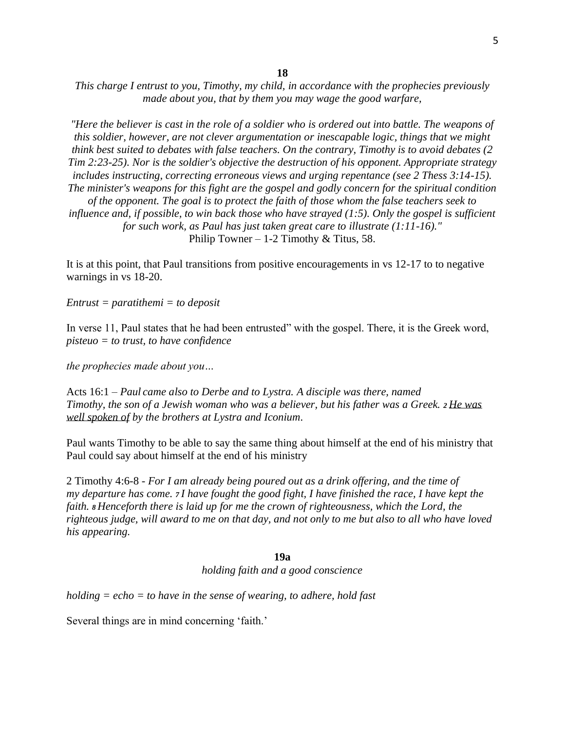**18**

*This charge I entrust to you, Timothy, my child, in accordance with the prophecies previously made about you, that by them you may wage the good warfare,*

*"Here the believer is cast in the role of a soldier who is ordered out into battle. The weapons of this soldier, however, are not clever argumentation or inescapable logic, things that we might think best suited to debates with false teachers. On the contrary, Timothy is to avoid debates (2 Tim 2:23-25). Nor is the soldier's objective the destruction of his opponent. Appropriate strategy includes instructing, correcting erroneous views and urging repentance (see 2 Thess 3:14-15). The minister's weapons for this fight are the gospel and godly concern for the spiritual condition of the opponent. The goal is to protect the faith of those whom the false teachers seek to influence and, if possible, to win back those who have strayed (1:5). Only the gospel is sufficient for such work, as Paul has just taken great care to illustrate (1:11-16)."* Philip Towner – 1-2 Timothy  $&$  Titus, 58.

It is at this point, that Paul transitions from positive encouragements in vs 12-17 to to negative warnings in vs 18-20.

*Entrust = paratithemi = to deposit* 

In verse 11, Paul states that he had been entrusted" with the gospel. There, it is the Greek word, *pisteuo = to trust, to have confidence* 

*the prophecies made about you…*

Acts 16:1 – *Paul came also to Derbe and to Lystra. A disciple was there, named Timothy, the son of a Jewish woman who was a believer, but his father was a Greek. <sup>2</sup> He was well spoken of by the brothers at Lystra and Iconium.*

Paul wants Timothy to be able to say the same thing about himself at the end of his ministry that Paul could say about himself at the end of his ministry

2 Timothy 4:6-8 - *For I am already being poured out as a drink offering, and the time of my departure has come. <sup>7</sup> I have fought the good fight, I have finished the race, I have kept the faith. <sup>8</sup> Henceforth there is laid up for me the crown of righteousness, which the Lord, the righteous judge, will award to me on that day, and not only to me but also to all who have loved his appearing.*

#### **19a**

*holding faith and a good conscience*

*holding = echo = to have in the sense of wearing, to adhere, hold fast* 

Several things are in mind concerning 'faith.'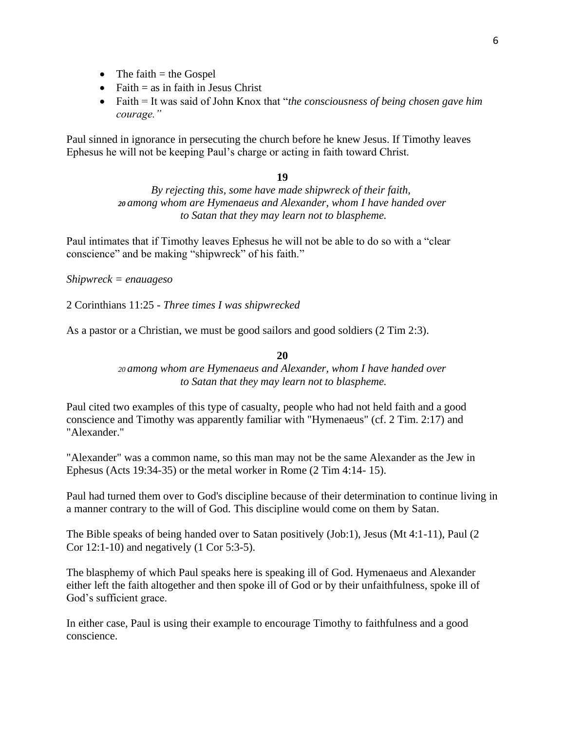- The faith  $=$  the Gospel
- Faith  $=$  as in faith in Jesus Christ
- Faith = It was said of John Knox that "*the consciousness of being chosen gave him courage."*

Paul sinned in ignorance in persecuting the church before he knew Jesus. If Timothy leaves Ephesus he will not be keeping Paul's charge or acting in faith toward Christ.

## **19**

*By rejecting this, some have made shipwreck of their faith, <sup>20</sup> among whom are Hymenaeus and Alexander, whom I have handed over to Satan that they may learn not to blaspheme.*

Paul intimates that if Timothy leaves Ephesus he will not be able to do so with a "clear conscience" and be making "shipwreck" of his faith."

*Shipwreck = enauageso* 

2 Corinthians 11:25 - *Three times I was shipwrecked*

As a pastor or a Christian, we must be good sailors and good soldiers (2 Tim 2:3).

### **20**

*<sup>20</sup> among whom are Hymenaeus and Alexander, whom I have handed over to Satan that they may learn not to blaspheme.*

Paul cited two examples of this type of casualty, people who had not held faith and a good conscience and Timothy was apparently familiar with "Hymenaeus" (cf. 2 Tim. 2:17) and "Alexander."

"Alexander" was a common name, so this man may not be the same Alexander as the Jew in Ephesus (Acts 19:34-35) or the metal worker in Rome (2 Tim 4:14- 15).

Paul had turned them over to God's discipline because of their determination to continue living in a manner contrary to the will of God. This discipline would come on them by Satan.

The Bible speaks of being handed over to Satan positively (Job:1), Jesus (Mt 4:1-11), Paul (2 Cor 12:1-10) and negatively (1 Cor 5:3-5).

The blasphemy of which Paul speaks here is speaking ill of God. Hymenaeus and Alexander either left the faith altogether and then spoke ill of God or by their unfaithfulness, spoke ill of God's sufficient grace.

In either case, Paul is using their example to encourage Timothy to faithfulness and a good conscience.